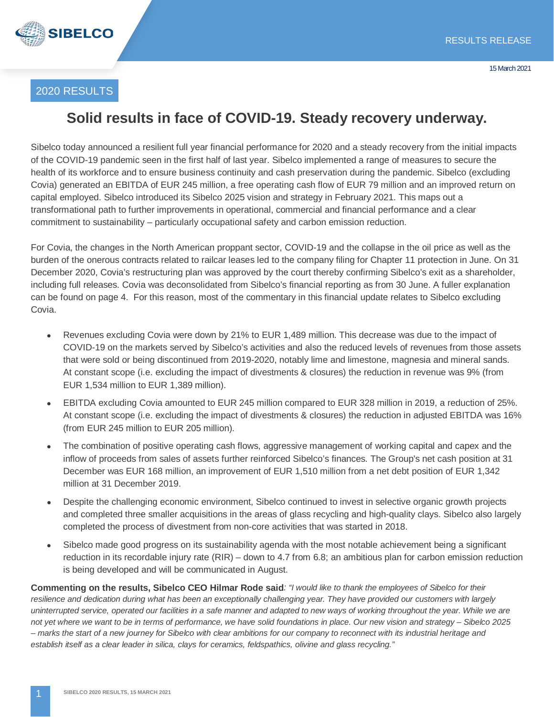

### 2020 RESULTS

# **Solid results in face of COVID-19. Steady recovery underway.**

Sibelco today announced a resilient full year financial performance for 2020 and a steady recovery from the initial impacts of the COVID-19 pandemic seen in the first half of last year. Sibelco implemented a range of measures to secure the health of its workforce and to ensure business continuity and cash preservation during the pandemic. Sibelco (excluding Covia) generated an EBITDA of EUR 245 million, a free operating cash flow of EUR 79 million and an improved return on capital employed. Sibelco introduced its Sibelco 2025 vision and strategy in February 2021. This maps out a transformational path to further improvements in operational, commercial and financial performance and a clear commitment to sustainability – particularly occupational safety and carbon emission reduction.

For Covia, the changes in the North American proppant sector, COVID-19 and the collapse in the oil price as well as the burden of the onerous contracts related to railcar leases led to the company filing for Chapter 11 protection in June. On 31 December 2020, Covia's restructuring plan was approved by the court thereby confirming Sibelco's exit as a shareholder, including full releases. Covia was deconsolidated from Sibelco's financial reporting as from 30 June. A fuller explanation can be found on page 4. For this reason, most of the commentary in this financial update relates to Sibelco excluding Covia.

- Revenues excluding Covia were down by 21% to EUR 1,489 million. This decrease was due to the impact of COVID-19 on the markets served by Sibelco's activities and also the reduced levels of revenues from those assets that were sold or being discontinued from 2019-2020, notably lime and limestone, magnesia and mineral sands. At constant scope (i.e. excluding the impact of divestments & closures) the reduction in revenue was 9% (from EUR 1,534 million to EUR 1,389 million).
- EBITDA excluding Covia amounted to EUR 245 million compared to EUR 328 million in 2019, a reduction of 25%. At constant scope (i.e. excluding the impact of divestments & closures) the reduction in adjusted EBITDA was 16% (from EUR 245 million to EUR 205 million).
- The combination of positive operating cash flows, aggressive management of working capital and capex and the inflow of proceeds from sales of assets further reinforced Sibelco's finances. The Group's net cash position at 31 December was EUR 168 million, an improvement of EUR 1,510 million from a net debt position of EUR 1,342 million at 31 December 2019.
- Despite the challenging economic environment, Sibelco continued to invest in selective organic growth projects and completed three smaller acquisitions in the areas of glass recycling and high-quality clays. Sibelco also largely completed the process of divestment from non-core activities that was started in 2018.
- Sibelco made good progress on its sustainability agenda with the most notable achievement being a significant reduction in its recordable injury rate (RIR) – down to 4.7 from 6.8; an ambitious plan for carbon emission reduction is being developed and will be communicated in August.

**Commenting on the results, Sibelco CEO Hilmar Rode said***: "I would like to thank the employees of Sibelco for their resilience and dedication during what has been an exceptionally challenging year. They have provided our customers with largely uninterrupted service, operated our facilities in a safe manner and adapted to new ways of working throughout the year. While we are not yet where we want to be in terms of performance, we have solid foundations in place. Our new vision and strategy – Sibelco 2025 – marks the start of a new journey for Sibelco with clear ambitions for our company to reconnect with its industrial heritage and establish itself as a clear leader in silica, clays for ceramics, feldspathics, olivine and glass recycling."*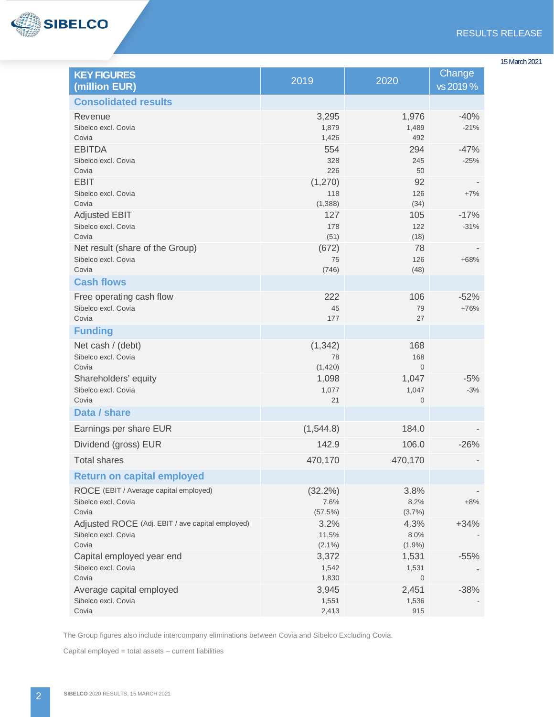

| 15 March 2021 |  |
|---------------|--|
|---------------|--|

| <b>KEY FIGURES</b><br>(million EUR)                                              | 2019                       | 2020                          | Change<br>vs 2019 % |
|----------------------------------------------------------------------------------|----------------------------|-------------------------------|---------------------|
| <b>Consolidated results</b>                                                      |                            |                               |                     |
| Revenue<br>Sibelco excl. Covia<br>Covia                                          | 3,295<br>1,879<br>1,426    | 1,976<br>1,489<br>492         | $-40%$<br>$-21%$    |
| <b>EBITDA</b><br>Sibelco excl. Covia<br>Covia                                    | 554<br>328<br>226          | 294<br>245<br>50              | $-47%$<br>$-25%$    |
| <b>EBIT</b><br>Sibelco excl. Covia<br>Covia                                      | (1,270)<br>118<br>(1, 388) | 92<br>126<br>(34)             | $+7%$               |
| <b>Adjusted EBIT</b><br>Sibelco excl. Covia<br>Covia                             | 127<br>178<br>(51)         | 105<br>122<br>(18)            | $-17%$<br>$-31%$    |
| Net result (share of the Group)<br>Sibelco excl. Covia<br>Covia                  | (672)<br>75<br>(746)       | 78<br>126<br>(48)             | $+68%$              |
| <b>Cash flows</b>                                                                |                            |                               |                     |
| Free operating cash flow<br>Sibelco excl. Covia<br>Covia                         | 222<br>45<br>177           | 106<br>79<br>27               | $-52%$<br>$+76%$    |
| <b>Funding</b>                                                                   |                            |                               |                     |
| Net cash / (debt)<br>Sibelco excl. Covia<br>Covia                                | (1, 342)<br>78<br>(1,420)  | 168<br>168<br>$\overline{0}$  |                     |
| Shareholders' equity<br>Sibelco excl. Covia<br>Covia                             | 1,098<br>1,077<br>21       | 1,047<br>1,047<br>$\mathbf 0$ | $-5%$<br>$-3%$      |
| Data / share                                                                     |                            |                               |                     |
| Earnings per share EUR                                                           | (1, 544.8)                 | 184.0                         |                     |
| Dividend (gross) EUR                                                             | 142.9                      | 106.0                         | $-26%$              |
| <b>Total shares</b>                                                              | 470,170                    | 470,170                       |                     |
| <b>Return on capital employed</b>                                                |                            |                               |                     |
| ROCE (EBIT / Average capital employed)<br>Sibelco excl. Covia<br>Covia           | (32.2%)<br>7.6%<br>(57.5%) | 3.8%<br>8.2%<br>$(3.7\%)$     | $+8%$               |
| Adjusted ROCE (Adj. EBIT / ave capital employed)<br>Sibelco excl. Covia<br>Covia | 3.2%<br>11.5%<br>$(2.1\%)$ | 4.3%<br>8.0%<br>$(1.9\%)$     | $+34%$              |
| Capital employed year end<br>Sibelco excl. Covia<br>Covia                        | 3,372<br>1,542<br>1,830    | 1,531<br>1,531<br>0           | $-55%$              |
| Average capital employed<br>Sibelco excl. Covia<br>Covia                         | 3,945<br>1,551<br>2,413    | 2,451<br>1,536<br>915         | $-38%$              |

The Group figures also include intercompany eliminations between Covia and Sibelco Excluding Covia.

Capital employed = total assets – current liabilities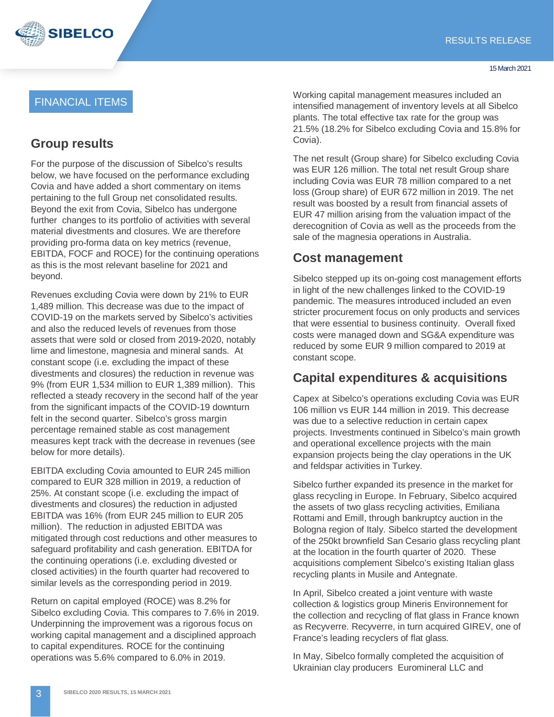

## FINANCIAL ITEMS

## **Group results**

For the purpose of the discussion of Sibelco's results below, we have focused on the performance excluding Covia and have added a short commentary on items pertaining to the full Group net consolidated results. Beyond the exit from Covia, Sibelco has undergone further changes to its portfolio of activities with several material divestments and closures. We are therefore providing pro-forma data on key metrics (revenue, EBITDA, FOCF and ROCE) for the continuing operations as this is the most relevant baseline for 2021 and beyond.

Revenues excluding Covia were down by 21% to EUR 1,489 million. This decrease was due to the impact of COVID-19 on the markets served by Sibelco's activities and also the reduced levels of revenues from those assets that were sold or closed from 2019-2020, notably lime and limestone, magnesia and mineral sands. At constant scope (i.e. excluding the impact of these divestments and closures) the reduction in revenue was 9% (from EUR 1,534 million to EUR 1,389 million). This reflected a steady recovery in the second half of the year from the significant impacts of the COVID-19 downturn felt in the second quarter. Sibelco's gross margin percentage remained stable as cost management measures kept track with the decrease in revenues (see below for more details).

EBITDA excluding Covia amounted to EUR 245 million compared to EUR 328 million in 2019, a reduction of 25%. At constant scope (i.e. excluding the impact of divestments and closures) the reduction in adjusted EBITDA was 16% (from EUR 245 million to EUR 205 million). The reduction in adjusted EBITDA was mitigated through cost reductions and other measures to safeguard profitability and cash generation. EBITDA for the continuing operations (i.e. excluding divested or closed activities) in the fourth quarter had recovered to similar levels as the corresponding period in 2019.

Return on capital employed (ROCE) was 8.2% for Sibelco excluding Covia. This compares to 7.6% in 2019. Underpinning the improvement was a rigorous focus on working capital management and a disciplined approach to capital expenditures. ROCE for the continuing operations was 5.6% compared to 6.0% in 2019.

Working capital management measures included an intensified management of inventory levels at all Sibelco plants. The total effective tax rate for the group was 21.5% (18.2% for Sibelco excluding Covia and 15.8% for Covia).

The net result (Group share) for Sibelco excluding Covia was EUR 126 million. The total net result Group share including Covia was EUR 78 million compared to a net loss (Group share) of EUR 672 million in 2019. The net result was boosted by a result from financial assets of EUR 47 million arising from the valuation impact of the derecognition of Covia as well as the proceeds from the sale of the magnesia operations in Australia.

### **Cost management**

Sibelco stepped up its on-going cost management efforts in light of the new challenges linked to the COVID-19 pandemic. The measures introduced included an even stricter procurement focus on only products and services that were essential to business continuity. Overall fixed costs were managed down and SG&A expenditure was reduced by some EUR 9 million compared to 2019 at constant scope.

# **Capital expenditures & acquisitions**

Capex at Sibelco's operations excluding Covia was EUR 106 million vs EUR 144 million in 2019. This decrease was due to a selective reduction in certain capex projects. Investments continued in Sibelco's main growth and operational excellence projects with the main expansion projects being the clay operations in the UK and feldspar activities in Turkey.

Sibelco further expanded its presence in the market for glass recycling in Europe. In February, Sibelco acquired the assets of two glass recycling activities, Emiliana Rottami and Emill, through bankruptcy auction in the Bologna region of Italy. Sibelco started the development of the 250kt brownfield San Cesario glass recycling plant at the location in the fourth quarter of 2020. These acquisitions complement Sibelco's existing Italian glass recycling plants in Musile and Antegnate.

In April, Sibelco created a joint venture with waste collection & logistics group Mineris Environnement for the collection and recycling of flat glass in France known as Recyverre. Recyverre, in turn acquired GIREV, one of France's leading recyclers of flat glass.

In May, Sibelco formally completed the acquisition of Ukrainian clay producers Euromineral LLC and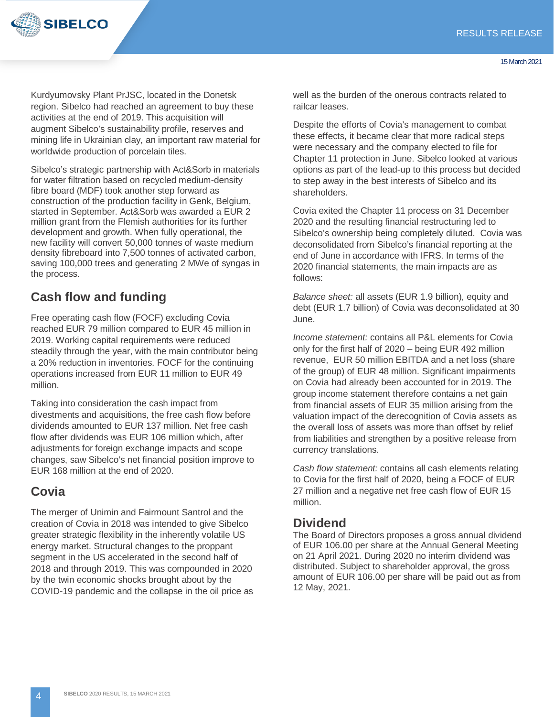

Kurdyumovsky Plant PrJSC, located in the Donetsk region. Sibelco had reached an agreement to buy these activities at the end of 2019. This acquisition will augment Sibelco's sustainability profile, reserves and mining life in Ukrainian clay, an important raw material for worldwide production of porcelain tiles.

Sibelco's strategic partnership with Act&Sorb in materials for water filtration based on recycled medium-density fibre board (MDF) took another step forward as construction of the production facility in Genk, Belgium, started in September. Act&Sorb was awarded a EUR 2 million grant from the Flemish authorities for its further development and growth. When fully operational, the new facility will convert 50,000 tonnes of waste medium density fibreboard into 7,500 tonnes of activated carbon, saving 100,000 trees and generating 2 MWe of syngas in the process.

# **Cash flow and funding**

Free operating cash flow (FOCF) excluding Covia reached EUR 79 million compared to EUR 45 million in 2019. Working capital requirements were reduced steadily through the year, with the main contributor being a 20% reduction in inventories. FOCF for the continuing operations increased from EUR 11 million to EUR 49 million.

Taking into consideration the cash impact from divestments and acquisitions, the free cash flow before dividends amounted to EUR 137 million. Net free cash flow after dividends was EUR 106 million which, after adjustments for foreign exchange impacts and scope changes, saw Sibelco's net financial position improve to EUR 168 million at the end of 2020.

# **Covia**

The merger of Unimin and Fairmount Santrol and the creation of Covia in 2018 was intended to give Sibelco greater strategic flexibility in the inherently volatile US energy market. Structural changes to the proppant segment in the US accelerated in the second half of 2018 and through 2019. This was compounded in 2020 by the twin economic shocks brought about by the COVID-19 pandemic and the collapse in the oil price as well as the burden of the onerous contracts related to railcar leases.

Despite the efforts of Covia's management to combat these effects, it became clear that more radical steps were necessary and the company elected to file for Chapter 11 protection in June. Sibelco looked at various options as part of the lead-up to this process but decided to step away in the best interests of Sibelco and its shareholders.

Covia exited the Chapter 11 process on 31 December 2020 and the resulting financial restructuring led to Sibelco's ownership being completely diluted. Covia was deconsolidated from Sibelco's financial reporting at the end of June in accordance with IFRS. In terms of the 2020 financial statements, the main impacts are as follows:

*Balance sheet:* all assets (EUR 1.9 billion), equity and debt (EUR 1.7 billion) of Covia was deconsolidated at 30 June.

*Income statement:* contains all P&L elements for Covia only for the first half of 2020 – being EUR 492 million revenue, EUR 50 million EBITDA and a net loss (share of the group) of EUR 48 million. Significant impairments on Covia had already been accounted for in 2019. The group income statement therefore contains a net gain from financial assets of EUR 35 million arising from the valuation impact of the derecognition of Covia assets as the overall loss of assets was more than offset by relief from liabilities and strengthen by a positive release from currency translations.

*Cash flow statement:* contains all cash elements relating to Covia for the first half of 2020, being a FOCF of EUR 27 million and a negative net free cash flow of EUR 15 million.

### **Dividend**

The Board of Directors proposes a gross annual dividend of EUR 106.00 per share at the Annual General Meeting on 21 April 2021. During 2020 no interim dividend was distributed. Subject to shareholder approval, the gross amount of EUR 106.00 per share will be paid out as from 12 May, 2021.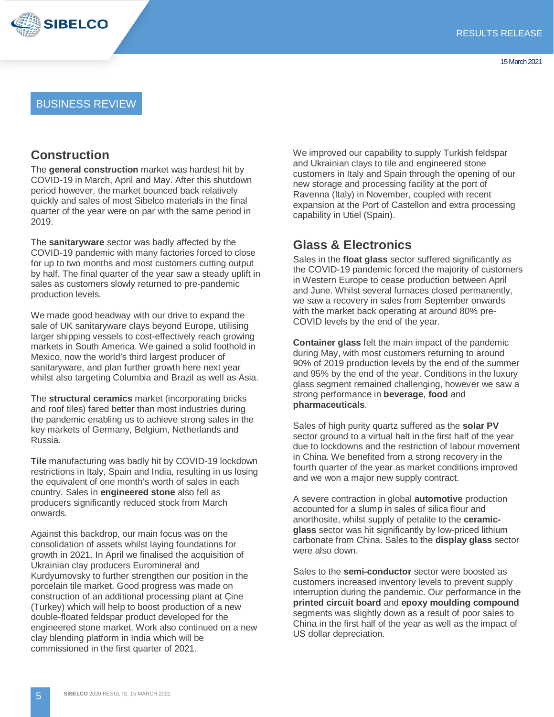

#### BUSINESS REVIEW

#### **Construction**

The **general construction** market was hardest hit by COVID-19 in March, April and May. After this shutdown period however, the market bounced back relatively quickly and sales of most Sibelco materials in the final quarter of the year were on par with the same period in 2019.

The **sanitaryware** sector was badly affected by the COVID-19 pandemic with many factories forced to close for up to two months and most customers cutting output by half. The final quarter of the year saw a steady uplift in sales as customers slowly returned to pre-pandemic production levels.

We made good headway with our drive to expand the sale of UK sanitaryware clays beyond Europe, utilising larger shipping vessels to cost-effectively reach growing markets in South America. We gained a solid foothold in Mexico, now the world's third largest producer of sanitaryware, and plan further growth here next year whilst also targeting Columbia and Brazil as well as Asia.

The **structural ceramics** market (incorporating bricks and roof tiles) fared better than most industries during the pandemic enabling us to achieve strong sales in the key markets of Germany, Belgium, Netherlands and Russia.

**Tile** manufacturing was badly hit by COVID-19 lockdown restrictions in Italy, Spain and India, resulting in us losing the equivalent of one month's worth of sales in each country. Sales in **engineered stone** also fell as producers significantly reduced stock from March onwards.

Against this backdrop, our main focus was on the consolidation of assets whilst laying foundations for growth in 2021. In April we finalised the acquisition of Ukrainian clay producers Euromineral and Kurdyumovsky to further strengthen our position in the porcelain tile market. Good progress was made on construction of an additional processing plant at Çine (Turkey) which will help to boost production of a new double-floated feldspar product developed for the engineered stone market. Work also continued on a new clay blending platform in India which will be commissioned in the first quarter of 2021.

We improved our capability to supply Turkish feldspar and Ukrainian clays to tile and engineered stone customers in Italy and Spain through the opening of our new storage and processing facility at the port of Ravenna (Italy) in November, coupled with recent expansion at the Port of Castellon and extra processing capability in Utiel (Spain).

### **Glass & Electronics**

Sales in the **float glass** sector suffered significantly as the COVID-19 pandemic forced the majority of customers in Western Europe to cease production between April and June. Whilst several furnaces closed permanently, we saw a recovery in sales from September onwards with the market back operating at around 80% pre-COVID levels by the end of the year.

**Container glass** felt the main impact of the pandemic during May, with most customers returning to around 90% of 2019 production levels by the end of the summer and 95% by the end of the year. Conditions in the luxury glass segment remained challenging, however we saw a strong performance in **beverage**, **food** and **pharmaceuticals**.

Sales of high purity quartz suffered as the **solar PV**  sector ground to a virtual halt in the first half of the year due to lockdowns and the restriction of labour movement in China. We benefited from a strong recovery in the fourth quarter of the year as market conditions improved and we won a major new supply contract.

A severe contraction in global **automotive** production accounted for a slump in sales of silica flour and anorthosite, whilst supply of petalite to the **ceramicglass** sector was hit significantly by low-priced lithium carbonate from China. Sales to the **display glass** sector were also down.

Sales to the **semi-conductor** sector were boosted as customers increased inventory levels to prevent supply interruption during the pandemic. Our performance in the **printed circuit board** and **epoxy moulding compound** segments was slightly down as a result of poor sales to China in the first half of the year as well as the impact of US dollar depreciation.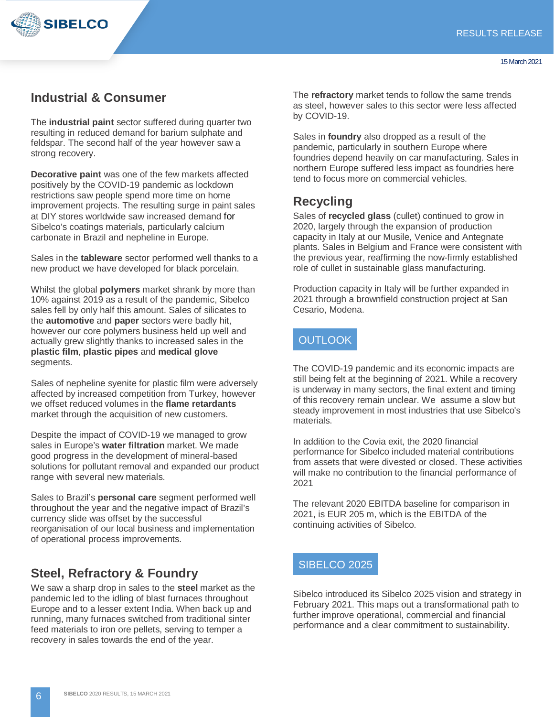

### **Industrial & Consumer**

The **industrial paint** sector suffered during quarter two resulting in reduced demand for barium sulphate and feldspar. The second half of the year however saw a strong recovery.

**Decorative paint** was one of the few markets affected positively by the COVID-19 pandemic as lockdown restrictions saw people spend more time on home improvement projects. The resulting surge in paint sales at DIY stores worldwide saw increased demand for Sibelco's coatings materials, particularly calcium carbonate in Brazil and nepheline in Europe.

Sales in the **tableware** sector performed well thanks to a new product we have developed for black porcelain.

Whilst the global **polymers** market shrank by more than 10% against 2019 as a result of the pandemic, Sibelco sales fell by only half this amount. Sales of silicates to the **automotive** and **paper** sectors were badly hit, however our core polymers business held up well and actually grew slightly thanks to increased sales in the **plastic film**, **plastic pipes** and **medical glove**  segments.

Sales of nepheline syenite for plastic film were adversely affected by increased competition from Turkey, however we offset reduced volumes in the **flame retardants** market through the acquisition of new customers.

Despite the impact of COVID-19 we managed to grow sales in Europe's **water filtration** market. We made good progress in the development of mineral-based solutions for pollutant removal and expanded our product range with several new materials.

Sales to Brazil's **personal care** segment performed well throughout the year and the negative impact of Brazil's currency slide was offset by the successful reorganisation of our local business and implementation of operational process improvements.

#### **Steel, Refractory & Foundry**

We saw a sharp drop in sales to the **steel** market as the pandemic led to the idling of blast furnaces throughout Europe and to a lesser extent India. When back up and running, many furnaces switched from traditional sinter feed materials to iron ore pellets, serving to temper a recovery in sales towards the end of the year.

The **refractory** market tends to follow the same trends as steel, however sales to this sector were less affected by COVID-19.

Sales in **foundry** also dropped as a result of the pandemic, particularly in southern Europe where foundries depend heavily on car manufacturing. Sales in northern Europe suffered less impact as foundries here tend to focus more on commercial vehicles.

## **Recycling**

Sales of **recycled glass** (cullet) continued to grow in 2020, largely through the expansion of production capacity in Italy at our Musile, Venice and Antegnate plants. Sales in Belgium and France were consistent with the previous year, reaffirming the now-firmly established role of cullet in sustainable glass manufacturing.

Production capacity in Italy will be further expanded in 2021 through a brownfield construction project at San Cesario, Modena.

#### **OUTLOOK**

The COVID-19 pandemic and its economic impacts are still being felt at the beginning of 2021. While a recovery is underway in many sectors, the final extent and timing of this recovery remain unclear. We assume a slow but steady improvement in most industries that use Sibelco's materials.

In addition to the Covia exit, the 2020 financial performance for Sibelco included material contributions from assets that were divested or closed. These activities will make no contribution to the financial performance of 2021

The relevant 2020 EBITDA baseline for comparison in 2021, is EUR 205 m, which is the EBITDA of the continuing activities of Sibelco.

#### SIBELCO 2025

Sibelco introduced its Sibelco 2025 vision and strategy in February 2021. This maps out a transformational path to further improve operational, commercial and financial performance and a clear commitment to sustainability.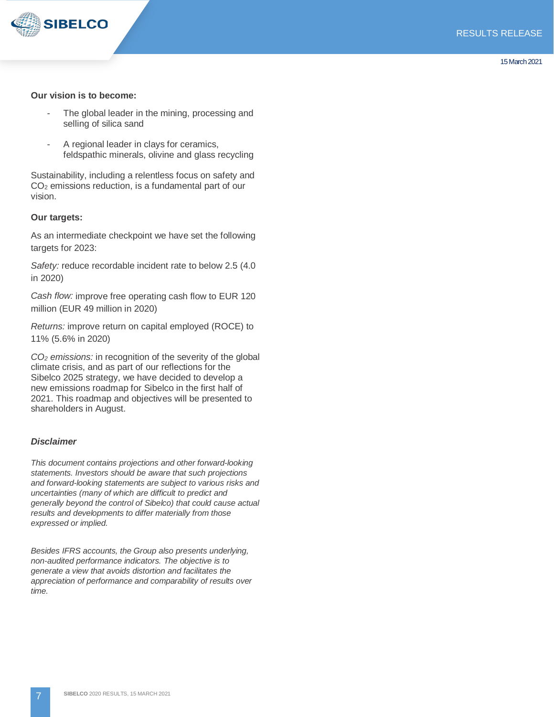

#### **Our vision is to become:**

- The global leader in the mining, processing and selling of silica sand
- A regional leader in clays for ceramics, feldspathic minerals, olivine and glass recycling

Sustainability, including a relentless focus on safety and CO2 emissions reduction, is a fundamental part of our vision.

#### **Our targets:**

As an intermediate checkpoint we have set the following targets for 2023:

*Safety:* reduce recordable incident rate to below 2.5 (4.0 in 2020)

*Cash flow:* improve free operating cash flow to EUR 120 million (EUR 49 million in 2020)

*Returns:* improve return on capital employed (ROCE) to 11% (5.6% in 2020)

*CO2 emissions:* in recognition of the severity of the global climate crisis, and as part of our reflections for the Sibelco 2025 strategy, we have decided to develop a new emissions roadmap for Sibelco in the first half of 2021. This roadmap and objectives will be presented to shareholders in August.

#### *Disclaimer*

*This document contains projections and other forward-looking statements. Investors should be aware that such projections and forward-looking statements are subject to various risks and uncertainties (many of which are difficult to predict and generally beyond the control of Sibelco) that could cause actual results and developments to differ materially from those expressed or implied.*

*Besides IFRS accounts, the Group also presents underlying, non-audited performance indicators. The objective is to generate a view that avoids distortion and facilitates the appreciation of performance and comparability of results over time.*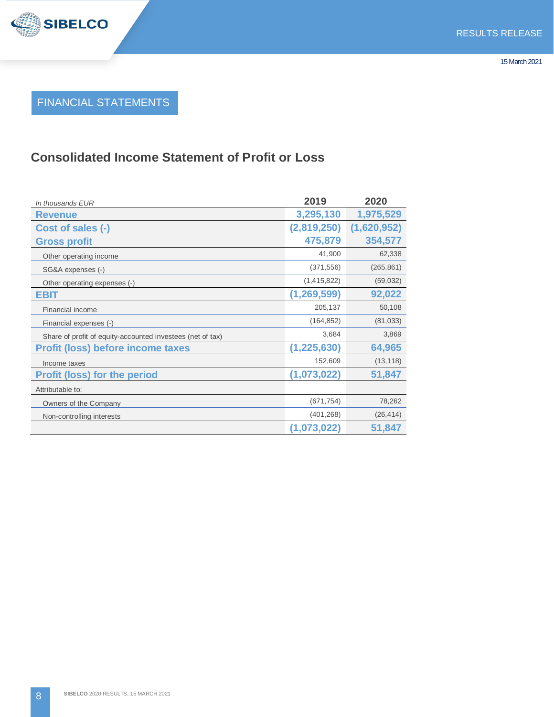# FINANCIAL STATEMENTS

# **Consolidated Income Statement of Profit or Loss**

| In thousands EUR                                           | 2019          | 2020        |
|------------------------------------------------------------|---------------|-------------|
| <b>Revenue</b>                                             | 3,295,130     | 1,975,529   |
| Cost of sales (-)                                          | (2,819,250)   | (1,620,952) |
| <b>Gross profit</b>                                        | 475,879       | 354,577     |
| Other operating income                                     | 41,900        | 62,338      |
| SG&A expenses (-)                                          | (371, 556)    | (265, 861)  |
| Other operating expenses (-)                               | (1,415,822)   | (59,032)    |
| EBIT                                                       | (1,269,599)   | 92,022      |
| Financial income                                           | 205,137       | 50,108      |
| Financial expenses (-)                                     | (164, 852)    | (81, 033)   |
| Share of profit of equity-accounted investees (net of tax) | 3,684         | 3,869       |
| <b>Profit (loss) before income taxes</b>                   | (1, 225, 630) | 64,965      |
| Income taxes                                               | 152,609       | (13, 118)   |
| <b>Profit (loss) for the period</b>                        | (1,073,022)   | 51,847      |
| Attributable to:                                           |               |             |
| Owners of the Company                                      | (671, 754)    | 78,262      |
| Non-controlling interests                                  | (401, 268)    | (26, 414)   |
|                                                            | (1,073,022)   | 51,847      |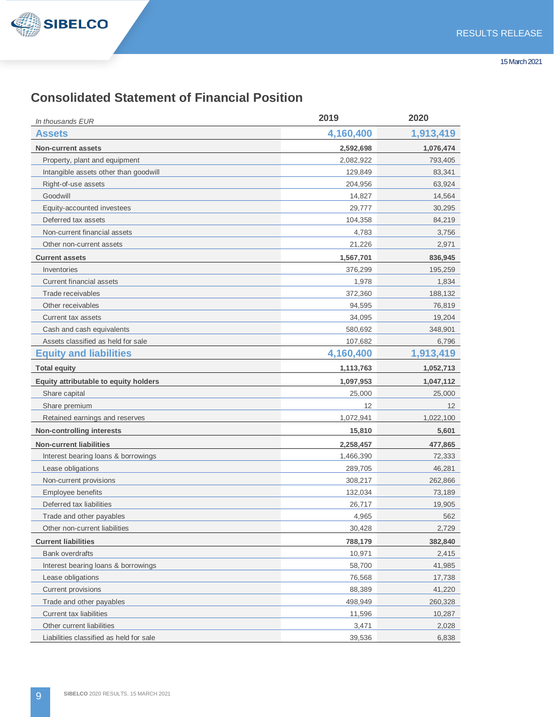

# **Consolidated Statement of Financial Position**

| In thousands EUR                        | 2019      | 2020      |
|-----------------------------------------|-----------|-----------|
| Assets                                  | 4,160,400 | 1,913,419 |
| <b>Non-current assets</b>               | 2,592,698 | 1,076,474 |
| Property, plant and equipment           | 2,082,922 | 793,405   |
| Intangible assets other than goodwill   | 129,849   | 83,341    |
| Right-of-use assets                     | 204,956   | 63,924    |
| Goodwill                                | 14,827    | 14,564    |
| Equity-accounted investees              | 29,777    | 30,295    |
| Deferred tax assets                     | 104,358   | 84,219    |
| Non-current financial assets            | 4,783     | 3,756     |
| Other non-current assets                | 21,226    | 2,971     |
| <b>Current assets</b>                   | 1,567,701 | 836,945   |
| Inventories                             | 376,299   | 195,259   |
| <b>Current financial assets</b>         | 1,978     | 1,834     |
| Trade receivables                       | 372,360   | 188,132   |
| Other receivables                       | 94,595    | 76,819    |
| Current tax assets                      | 34,095    | 19.204    |
| Cash and cash equivalents               | 580,692   | 348,901   |
| Assets classified as held for sale      | 107,682   | 6,796     |
| <b>Equity and liabilities</b>           | 4,160,400 | 1,913,419 |
| <b>Total equity</b>                     | 1,113,763 | 1,052,713 |
| Equity attributable to equity holders   | 1,097,953 | 1,047,112 |
| Share capital                           | 25,000    | 25,000    |
| Share premium                           | 12        | 12        |
| Retained earnings and reserves          | 1,072,941 | 1,022,100 |
| <b>Non-controlling interests</b>        | 15,810    | 5,601     |
| <b>Non-current liabilities</b>          | 2,258,457 | 477,865   |
| Interest bearing loans & borrowings     | 1,466,390 | 72,333    |
| Lease obligations                       | 289,705   | 46,281    |
| Non-current provisions                  | 308,217   | 262,866   |
| Employee benefits                       | 132,034   | 73,189    |
| Deferred tax liabilities                | 26,717    | 19,905    |
| Trade and other payables                | 4,965     | 562       |
| Other non-current liabilities           | 30,428    | 2,729     |
| <b>Current liabilities</b>              | 788,179   | 382,840   |
| <b>Bank overdrafts</b>                  | 10,971    | 2,415     |
| Interest bearing loans & borrowings     | 58,700    | 41,985    |
| Lease obligations                       | 76,568    | 17,738    |
| Current provisions                      | 88,389    | 41,220    |
| Trade and other payables                | 498,949   | 260,328   |
| Current tax liabilities                 | 11,596    | 10,287    |
| Other current liabilities               | 3,471     | 2,028     |
| Liabilities classified as held for sale | 39,536    | 6,838     |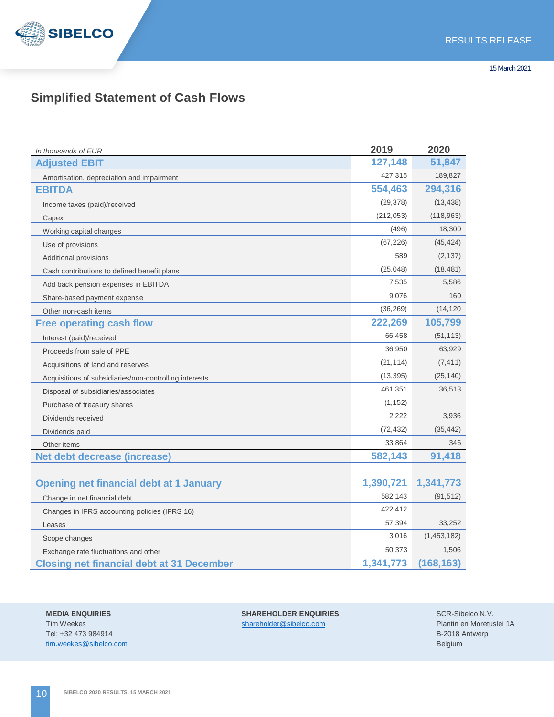

# **Simplified Statement of Cash Flows**

| In thousands of EUR                                    | 2019       | 2020        |
|--------------------------------------------------------|------------|-------------|
| <b>Adjusted EBIT</b>                                   | 127,148    | 51,847      |
| Amortisation, depreciation and impairment              | 427,315    | 189,827     |
| <b>EBITDA</b>                                          | 554,463    | 294,316     |
| Income taxes (paid)/received                           | (29, 378)  | (13, 438)   |
| Capex                                                  | (212, 053) | (118, 963)  |
| Working capital changes                                | (496)      | 18,300      |
| Use of provisions                                      | (67, 226)  | (45, 424)   |
| Additional provisions                                  | 589        | (2, 137)    |
| Cash contributions to defined benefit plans            | (25, 048)  | (18, 481)   |
| Add back pension expenses in EBITDA                    | 7,535      | 5,586       |
| Share-based payment expense                            | 9,076      | 160         |
| Other non-cash items                                   | (36, 269)  | (14, 120)   |
| <b>Free operating cash flow</b>                        | 222,269    | 105,799     |
| Interest (paid)/received                               | 66,458     | (51, 113)   |
| Proceeds from sale of PPE                              | 36,950     | 63,929      |
| Acquisitions of land and reserves                      | (21, 114)  | (7, 411)    |
| Acquisitions of subsidiaries/non-controlling interests | (13, 395)  | (25, 140)   |
| Disposal of subsidiaries/associates                    | 461,351    | 36,513      |
| Purchase of treasury shares                            | (1, 152)   |             |
| Dividends received                                     | 2,222      | 3,936       |
| Dividends paid                                         | (72, 432)  | (35, 442)   |
| Other items                                            | 33,864     | 346         |
| Net debt decrease (increase)                           | 582,143    | 91,418      |
|                                                        |            |             |
| <b>Opening net financial debt at 1 January</b>         | 1,390,721  | 1,341,773   |
| Change in net financial debt                           | 582,143    | (91, 512)   |
| Changes in IFRS accounting policies (IFRS 16)          | 422,412    |             |
| Leases                                                 | 57,394     | 33,252      |
| Scope changes                                          | 3,016      | (1,453,182) |
| Exchange rate fluctuations and other                   | 50,373     | 1,506       |
| <b>Closing net financial debt at 31 December</b>       | 1,341,773  | (168, 163)  |

Tim Weekes shareholder@sibelco.com Tel: +32 473 984914 tim.weekes@sibelco.com

**MEDIA ENQUIRIES SHAREHOLDER ENQUIRIES**

SCR-Sibelco N.V. Plantin en Moretuslei 1A B-2018 Antwerp Belgium